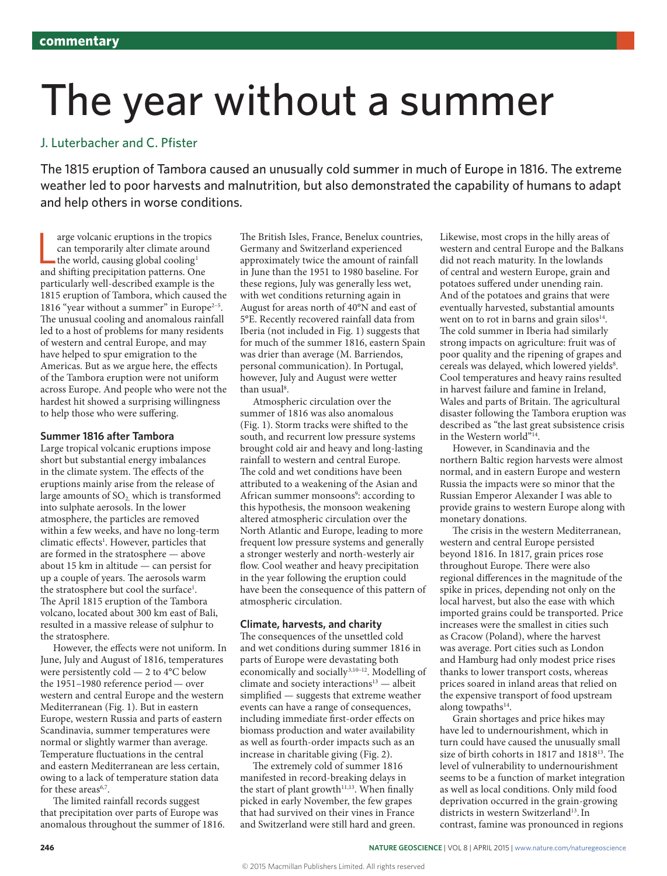## The year without a summer

### J. Luterbacher and C. Pfister

The 1815 eruption of Tambora caused an unusually cold summer in much of Europe in 1816. The extreme weather led to poor harvests and malnutrition, but also demonstrated the capability of humans to adapt and help others in worse conditions.

 $\alpha$  arge volcanic eruptions in the tropic can temporarily alter climate around the world, causing global cooling<sup>1</sup> and shifting precipitation patterns. One arge volcanic eruptions in the tropics can temporarily alter climate around the world, causing global cooling<sup>1</sup> particularly well-described example is the 1815 eruption of Tambora, which caused the 1816 "year without a summer" in Europe<sup>2-5</sup>. The unusual cooling and anomalous rainfall led to a host of problems for many residents of western and central Europe, and may have helped to spur emigration to the Americas. But as we argue here, the effects of the Tambora eruption were not uniform across Europe. And people who were not the hardest hit showed a surprising willingness to help those who were suffering.

#### **Summer 1816 after Tambora**

Large tropical volcanic eruptions impose short but substantial energy imbalances in the climate system. The effects of the eruptions mainly arise from the release of large amounts of  $SO<sub>2</sub>$  which is transformed into sulphate aerosols. In the lower atmosphere, the particles are removed within a few weeks, and have no long-term climatic effects<sup>1</sup>. However, particles that are formed in the stratosphere — above about 15 km in altitude — can persist for up a couple of years. The aerosols warm the stratosphere but cool the surface<sup>1</sup>. The April 1815 eruption of the Tambora volcano, located about 300 km east of Bali, resulted in a massive release of sulphur to the stratosphere.

However, the effects were not uniform. In June, July and August of 1816, temperatures were persistently cold — 2 to 4°C below the 1951–1980 reference period— over western and central Europe and the western Mediterranean (Fig. 1). But in eastern Europe, western Russia and parts of eastern Scandinavia, summer temperatures were normal or slightly warmer than average. Temperature fluctuations in the central and eastern Mediterranean are less certain, owing to a lack of temperature station data for these areas<sup>6,7</sup>.

The limited rainfall records suggest that precipitation over parts of Europe was anomalous throughout the summer of 1816. The British Isles, France, Benelux countries, Germany and Switzerland experienced approximately twice the amount of rainfall in June than the 1951 to 1980 baseline. For these regions, July was generally less wet, with wet conditions returning again in August for areas north of 40°N and east of 5°E. Recently recovered rainfall data from Iberia (not included in Fig. 1) suggests that for much of the summer 1816, eastern Spain was drier than average (M. Barriendos, personal communication). In Portugal, however, July and August were wetter than usual<sup>8</sup>.

Atmospheric circulation over the summer of 1816 was also anomalous (Fig. 1). Storm tracks were shifted to the south, and recurrent low pressure systems brought cold air and heavy and long-lasting rainfall to western and central Europe. The cold and wet conditions have been attributed to a weakening of the Asian and African summer monsoons<sup>9</sup>: according to this hypothesis, the monsoon weakening altered atmospheric circulation over the North Atlantic and Europe, leading to more frequent low pressure systems and generally a stronger westerly and north-westerly air flow. Cool weather and heavy precipitation in the year following the eruption could have been the consequence of this pattern of atmospheric circulation.

#### **Climate, harvests, and charity**

The consequences of the unsettled cold and wet conditions during summer 1816 in parts of Europe were devastating both economically and socially<sup>3,10-12</sup>. Modelling of climate and society interactions $13$  — albeit simplified — suggests that extreme weather events can have a range of consequences, including immediate first-order effects on biomass production and water availability as well as fourth-order impacts such as an increase in charitable giving (Fig. 2).

The extremely cold of summer 1816 manifested in record-breaking delays in the start of plant growth $11,13$ . When finally picked in early November, the few grapes that had survived on their vines in France and Switzerland were still hard and green. Likewise, most crops in the hilly areas of western and central Europe and the Balkans did not reach maturity. In the lowlands of central and western Europe, grain and potatoes suffered under unending rain. And of the potatoes and grains that were eventually harvested, substantial amounts went on to rot in barns and grain silos $14$ . The cold summer in Iberia had similarly strong impacts on agriculture: fruit was of poor quality and the ripening of grapes and cereals was delayed, which lowered yields<sup>8</sup>. Cool temperatures and heavy rains resulted in harvest failure and famine in Ireland, Wales and parts of Britain. The agricultural disaster following the Tambora eruption was described as "the last great subsistence crisis in the Western world"<sup>14</sup>.

However, in Scandinavia and the northern Baltic region harvests were almost normal, and in eastern Europe and western Russia the impacts were so minor that the Russian Emperor Alexander I was able to provide grains to western Europe along with monetary donations.

The crisis in the western Mediterranean, western and central Europe persisted beyond 1816. In 1817, grain prices rose throughout Europe. There were also regional differences in the magnitude of the spike in prices, depending not only on the local harvest, but also the ease with which imported grains could be transported. Price increases were the smallest in cities such as Cracow (Poland), where the harvest was average. Port cities such as London and Hamburg had only modest price rises thanks to lower transport costs, whereas prices soared in inland areas that relied on the expensive transport of food upstream along towpaths<sup>14</sup>.

Grain shortages and price hikes may have led to undernourishment, which in turn could have caused the unusually small size of birth cohorts in 1817 and 1818<sup>13</sup>. The level of vulnerability to undernourishment seems to be a function of market integration as well as local conditions. Only mild food deprivation occurred in the grain-growing districts in western Switzerland<sup>13</sup>. In contrast, famine was pronounced in regions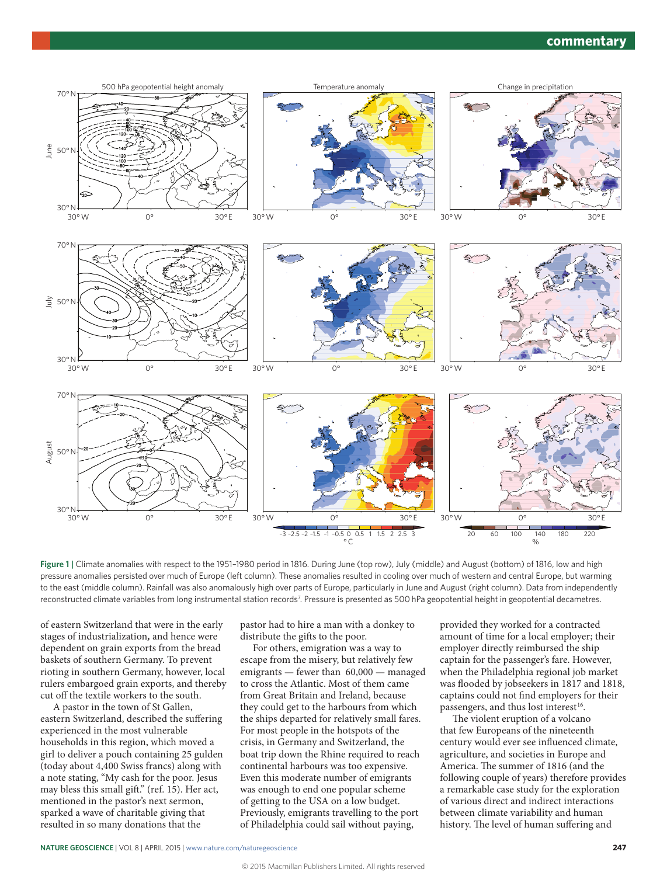#### **commentary**



**Figure 1 |** Climate anomalies with respect to the 1951–1980 period in 1816. During June (top row), July (middle) and August (bottom) of 1816, low and high pressure anomalies persisted over much of Europe (left column). These anomalies resulted in cooling over much of western and central Europe, but warming to the east (middle column). Rainfall was also anomalously high over parts of Europe, particularly in June and August (right column). Data from independently reconstructed climate variables from long instrumental station records<sup>7</sup>. Pressure is presented as 500 hPa geopotential height in geopotential decametres.

of eastern Switzerland that were in the early stages of industrialization*,* and hence were dependent on grain exports from the bread baskets of southern Germany. To prevent rioting in southern Germany, however, local rulers embargoed grain exports, and thereby cut off the textile workers to the south.

A pastor in the town of St Gallen, eastern Switzerland, described the suffering experienced in the most vulnerable households in this region, which moved a girl to deliver a pouch containing 25 gulden (today about 4,400 Swiss francs) along with a note stating, "My cash for the poor. Jesus may bless this small gift." (ref. 15). Her act, mentioned in the pastor's next sermon, sparked a wave of charitable giving that resulted in so many donations that the

pastor had to hire a man with a donkey to distribute the gifts to the poor.

For others, emigration was a way to escape from the misery, but relatively few emigrants — fewer than 60,000 — managed to cross the Atlantic. Most of them came from Great Britain and Ireland, because they could get to the harbours from which the ships departed for relatively small fares. For most people in the hotspots of the crisis, in Germany and Switzerland, the boat trip down the Rhine required to reach continental harbours was too expensive. Even this moderate number of emigrants was enough to end one popular scheme of getting to the USA on a low budget. Previously, emigrants travelling to the port of Philadelphia could sail without paying,

provided they worked for a contracted amount of time for a local employer; their employer directly reimbursed the ship captain for the passenger's fare. However, when the Philadelphia regional job market was flooded by jobseekers in 1817 and 1818, captains could not find employers for their passengers, and thus lost interest<sup>16</sup>.

The violent eruption of a volcano that few Europeans of the nineteenth century would ever see influenced climate, agriculture, and societies in Europe and America. The summer of 1816 (and the following couple of years) therefore provides a remarkable case study for the exploration of various direct and indirect interactions between climate variability and human history. The level of human suffering and